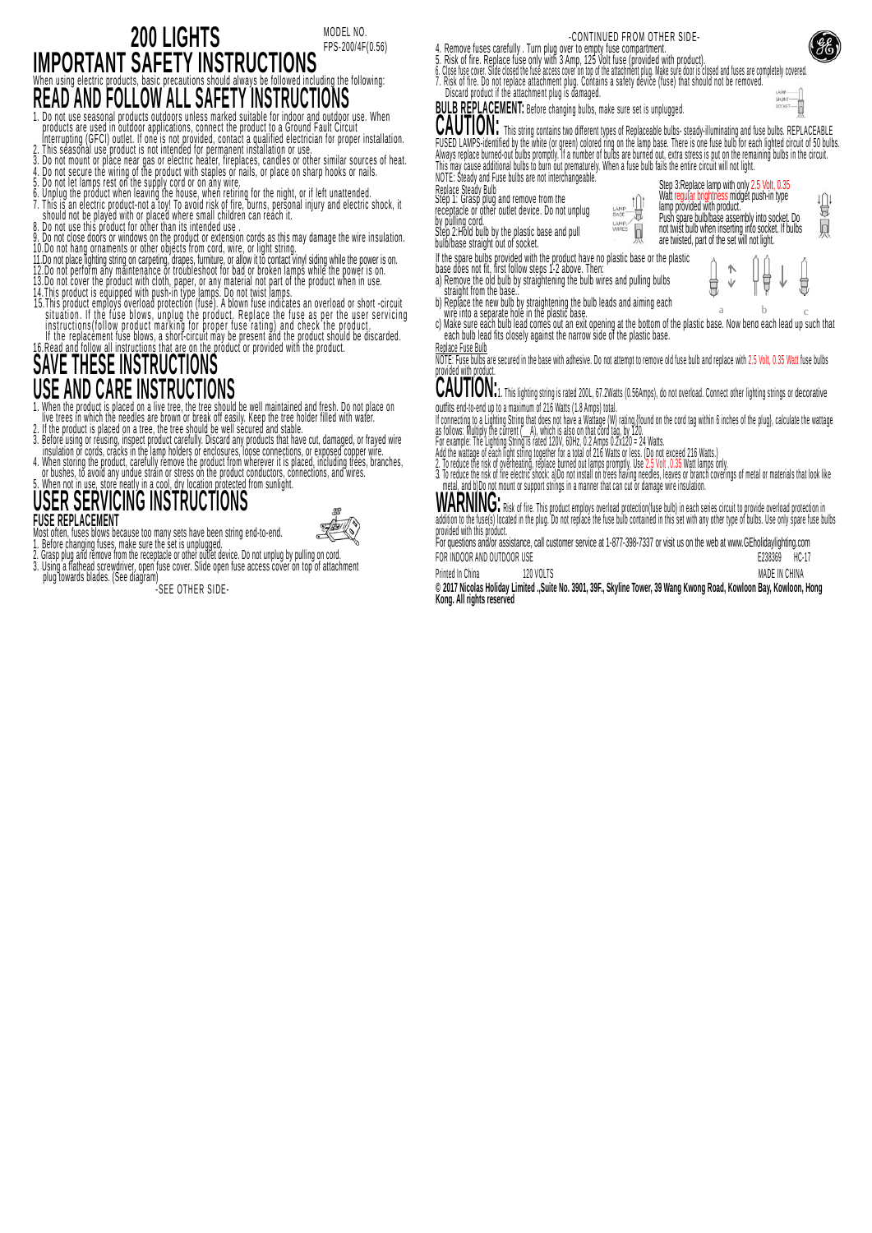#### **200 LIGHTS IMPORTANT SAFETY INSTRUCTIONS** When using electric products, basic precautions should always be followed including the following: **READ AND FOLLOW ALL SAFETY INSTRUCTIONS** MODEL NO. FPS-200/4F(0.56)

1. Do not use seasonal products are used in outdoor applications, connect the product to a Ground Fault Circuit<br>Interrupting (GFCI) outlet. If one is not provided, contact a qualified electrician for proper installation.<br>2

- 
- 
- 
- 
- 
- 8. Do not use unis product for ourer unit in sime<br>10. Do not close doors or windows on the product or extension cords as this may damage the wire insulation.<br>10. Do not hang ornaments or other objects from cord, wire, or l
- 
- 
- 
- 
- situations. The last provide the product in a figure that the last generality is instructions (follow product marking for proper fuse rating) and check the product in the replacement fuse blows, a short-circuit may be pres
- 

# **SAVE THESE INSTRUCTIONS USE AND CARE INSTRUCTIONS**

- 1. When the product is placed on a live tree, the tree should be well maintained and fresh. Do not place on
- 
- " inve uees in winch the needus are blown of bleak of easily. Keep the thee house filled with watel.<br>3. Before using or reusing, inspect product carefully. Discard any products that have cut, damaged, or frayed wire<br>3. Bef
- 4. Wrien Storing the product, carefully refinive the product front wherever it is praced, including trees, branches,<br>5. Whene is to avoid any undue strain or stress on the product conductors, connections, and wires.<br>5. Whe

### **USER SERVICING INSTRUCTIONS FUSE REPLACEMENT** Most often, fuses blows because too many sets have been string end-to-end.

- 
- 1. Before changing fuses, make sure the set is unplugged.<br>2. Grasp plug and remove from the receptacle or other outlet device. Do not unplug by pulling on cord.
- 3. Using a flathead screwdriver, open fuse cover. Slide open fuse access cover on top of attachment<br>- plug towards blades. (See diagram)<br>-SEE OTHER SIDE-

| -CONTINUED FROM OTHER SIDE-                                                                                 |  |
|-------------------------------------------------------------------------------------------------------------|--|
| la  Taggi interna erang kalipang kabupaten kang melangkan mengelasi kang mengembang mengembang mengembang m |  |

- 
- 4. Remove fuses carefully . Turn plug over to empty fuse compartment.<br>5. Risk of fire. Replace fuse only with 3 Amp, 125 Volt fuse compartment.<br>6. Close fuse cover. Slide closed the fuse access cover on top of the attachme 7. Risk of fire. Do not replace attachment plug. Contains a safety device (fuse) that should not be removed. Discard product if the attachment plug is damaged.



**CAUTION:** This string contains two different types of Replaceable bulbs- steady-illuminating and fuse bulbs. REPLACEABLE FUSED LAMPS-identified by the white (or green) colored ring on the lamp base. There is one fuse bulb for each lighted circuit of 50 bulbs<br>Always replace burned out bulbs promptly. If a number of bulbs are burned out, extra

NOTE: Steady and Fuse bulbs are not interchangeable. Step 3: Replace lamp with only 2.5 Volt, 0.35<br>Watt regular brightness midget push-in type Replace Steady Bulb 心 僧

b

LAMP

Watthought brightness mid-

Push spare bulb/base assembly into socket. Do not twist bulb when inserting into socket. If bulbs are twisted, part of the set will not light.

 $\wedge$ 

Ü Ŵ Ü

| Step 1: Grasp plug and remove from the<br>receptacle or other outlet device. Do not unplug |  |
|--------------------------------------------------------------------------------------------|--|
|                                                                                            |  |
| by pulling cord.<br>Stop 2: Hold bulb by the plastic base and pull                         |  |
|                                                                                            |  |

- Step 2:Hold bulb by the plastic base and pull bulb/base straight out of socket.
- 

- n une spare bouns provided with the product have the plastic base of the plastic<br>abase does not fit, first follow steps 1-2 above. Then:<br>a) Remove the old bulb by straightening the bulb wires and pulling bulbs<br>... straight
- 
- b) Replace the new bulb by straightening the bulb leads and aiming each wire into a separate hole in the plastic base.
- c) Make sure each bulb lead comes out an exit opening at the bottom of the plastic base.<br>- each bulb lead fits closely against the narrow side of the plastic base. a b c
- Replace Fuse Bulb

NOTE: Fuse bulbs are secured in the base with adhesive. Do not attempt to remove old fuse bulb and replace with 2.5 Volt, 0.35 Watt fuse bulbs provided with product.

**CAUTION:**1. This lighting string is rated 200L, 67.2Watts (0.56Amps), do not overload. Connect other lighting strings or decorative outfits end-to-end up to a maximum of 216 Watts (1.8 Amps) total.

- 
- 
- n connection of a current ("The current" we a water of the base of the current of the current of the current ("The lighting solution and the current of the sixtee of the base of that cord lag, by 120.<br>For example: The Ligh
- 

**WARNING:** Risk of fire. This product employs overload protection(fuse bulb) in each series circuit to provide overload protection in abution to the roses) rocated in the prog. Do not replace the rose build contained in this set with any other type or bubs. Ose only spare rose bubs<br>Trovided with this product.<br>For questions and/or assistance, call custome

FOR INDOOR AND OUTDOOR USE E238369 HC-17

Printed In China 120 VOLTS MADE IN CHINA 120 VOLTS MADE IN CHINA **© 2017 Nicolas Holiday Limited .,Suite No. 3901, 39F., Skyline Tower, 39 Wang Kwong Road, Kowloon Bay, Kowloon, Hong Kong. All rights reserved**



Ļ

Ĩ

Q